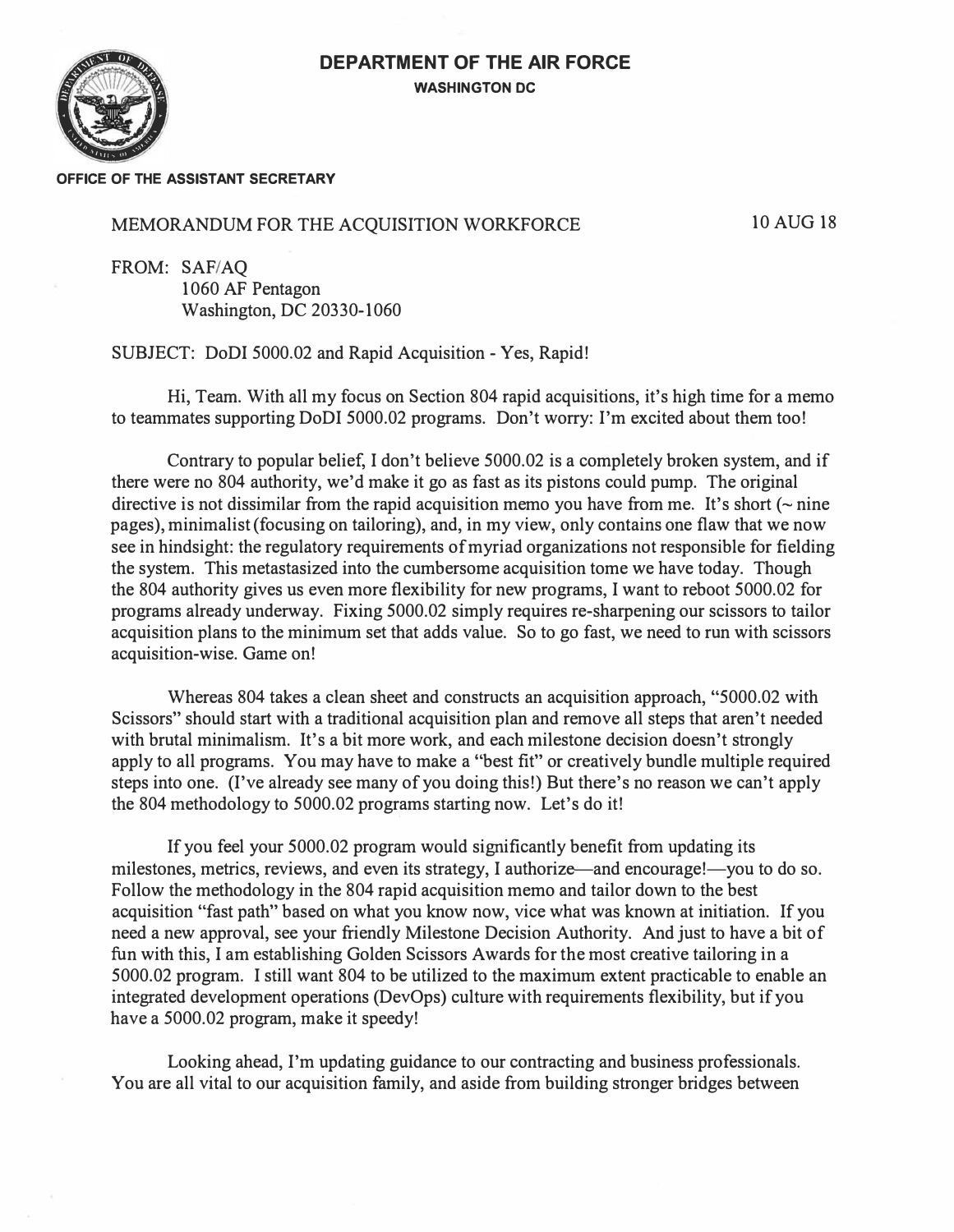## **DEPARTMENT OF THE AIR FORCE WASHINGTON DC**



## **OFFICE OF THE ASSISTANT SECRETARY**

## MEMORANDUM FOR THE ACQUISITION WORKFORCE

10 AUG 18

FROM: SAF/AQ 1060 AF Pentagon Washington, DC 20330-1060

SUBJECT: DoDI 5000.02 and Rapid Acquisition - Yes, Rapid!

Hi, Team. With all my focus on Section 804 rapid acquisitions, it's high time for a memo to teammates supporting DoDI 5000.02 programs. Don't worry: I'm excited about them too!

Contrary to popular belief, I don't believe 5000.02 is a completely broken system, and if there were no 804 authority, we'd make it go as fast as its pistons could pump. The original directive is not dissimilar from the rapid acquisition memo you have from me. It's short  $\sim$  nine pages), minimalist (focusing on tailoring), and, in my view, only contains one flaw that we now see in hindsight: the regulatory requirements of myriad organizations not responsible for fielding the system. This metastasized into the cumbersome acquisition tome we have today. Though the 804 authority gives us even more flexibility for new programs, I want to reboot 5000.02 for programs already underway. Fixing 5000.02 simply requires re-sharpening our scissors to tailor acquisition plans to the minimum set that adds value. So to go fast, we need to run with scissors acquisition-wise. Game on!

Whereas 804 takes a clean sheet and constructs an acquisition approach, "5000.02 with Scissors" should start with a traditional acquisition plan and remove all steps that aren't needed with brutal minimalism. It's a bit more work, and each milestone decision doesn't strongly apply to all programs. You may have to make a "best fit" or creatively bundle multiple required steps into one. (I've already see many of you doing this!) But there's no reason we can't apply the 804 methodology to 5000.02 programs starting now. Let's do it!

If you feel your 5000.02 program would significantly benefit from updating its milestones, metrics, reviews, and even its strategy, I authorize—and encourage!—you to do so. Follow the methodology in the 804 rapid acquisition memo and tailor down to the best acquisition "fast path" based on what you know now, vice what was known at initiation. If you need a new approval, see your friendly Milestone Decision Authority. And just to have a bit of fun with this, I am establishing Golden Scissors Awards for the most creative tailoring in a 5000.02 program. I still want 804 to be utilized to the maximum extent practicable to enable an integrated development operations (DevOps) culture with requirements flexibility, but if you have a 5000.02 program, make it speedy!

Looking ahead, I'm updating guidance to our contracting and business professionals. You are all vital to our acquisition family, and aside from building stronger bridges between